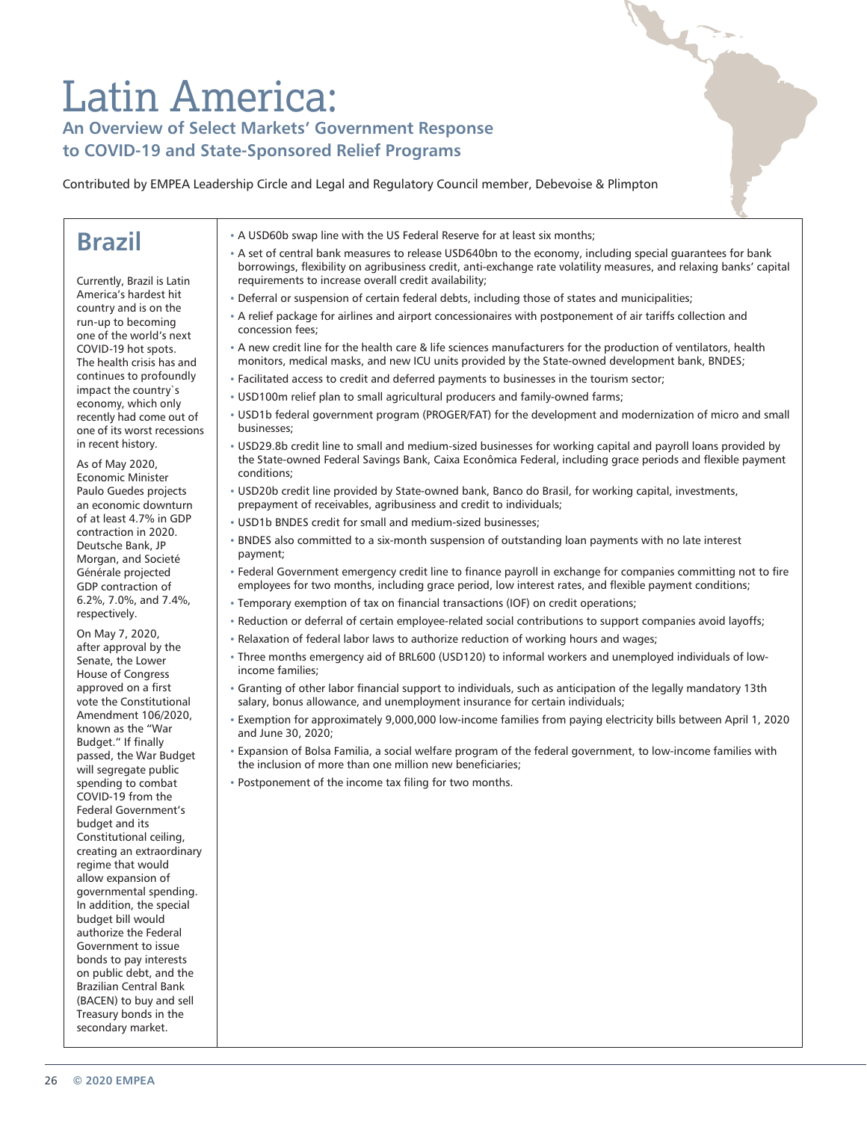## Latin America:

## **An Overview of Select Markets' Government Response to COVID-19 and State-Sponsored Relief Programs**

Contributed by EMPEA Leadership Circle and Legal and Regulatory Council member, Debevoise & Plimpton

## **Brazil**

Currently, Brazil is Latin America's hardest hit country and is on the run-up to becoming one of the world's next COVID-19 hot spots. The health crisis has and continues to profoundly impact the country`s economy, which only recently had come out of one of its worst recessions in recent history.

As of May 2020, Economic Minister Paulo Guedes projects an economic downturn of at least 4.7% in GDP contraction in 2020. Deutsche Bank, JP Morgan, and Societé Générale projected GDP contraction of 6.2%, 7.0%, and 7.4%, respectively.

On May 7, 2020, after approval by the Senate, the Lower House of Congress approved on a first vote the Constitutional Amendment 106/2020, known as the "War Budget." If finally passed, the War Budget will segregate public spending to combat COVID-19 from the Federal Government's budget and its Constitutional ceiling, creating an extraordinary regime that would allow expansion of governmental spending. In addition, the special budget bill would authorize the Federal Government to issue bonds to pay interests on public debt, and the Brazilian Central Bank (BACEN) to buy and sell Treasury bonds in the secondary market.

- A USD60b swap line with the US Federal Reserve for at least six months;
- A set of central bank measures to release USD640bn to the economy, including special guarantees for bank borrowings, flexibility on agribusiness credit, anti-exchange rate volatility measures, and relaxing banks' capital requirements to increase overall credit availability;

**ALC** 

- Deferral or suspension of certain federal debts, including those of states and municipalities;
- A relief package for airlines and airport concessionaires with postponement of air tariffs collection and concession fees;
- A new credit line for the health care & life sciences manufacturers for the production of ventilators, health monitors, medical masks, and new ICU units provided by the State-owned development bank, BNDES;
- Facilitated access to credit and deferred payments to businesses in the tourism sector;
- USD100m relief plan to small agricultural producers and family-owned farms;
- USD1b federal government program (PROGER/FAT) for the development and modernization of micro and small businesses;
- USD29.8b credit line to small and medium-sized businesses for working capital and payroll loans provided by the State-owned Federal Savings Bank, Caixa Econômica Federal, including grace periods and flexible payment conditions;
- USD20b credit line provided by State-owned bank, Banco do Brasil, for working capital, investments, prepayment of receivables, agribusiness and credit to individuals;
- USD1b BNDES credit for small and medium-sized businesses;
- BNDES also committed to a six-month suspension of outstanding loan payments with no late interest payment;
- Federal Government emergency credit line to finance payroll in exchange for companies committing not to fire employees for two months, including grace period, low interest rates, and flexible payment conditions;
- Temporary exemption of tax on financial transactions (IOF) on credit operations;
- Reduction or deferral of certain employee-related social contributions to support companies avoid layoffs;
- Relaxation of federal labor laws to authorize reduction of working hours and wages;
- Three months emergency aid of BRL600 (USD120) to informal workers and unemployed individuals of lowincome families;
- Granting of other labor financial support to individuals, such as anticipation of the legally mandatory 13th salary, bonus allowance, and unemployment insurance for certain individuals;
- Exemption for approximately 9,000,000 low-income families from paying electricity bills between April 1, 2020 and June 30, 2020;
- Expansion of Bolsa Familia, a social welfare program of the federal government, to low-income families with the inclusion of more than one million new beneficiaries;
- Postponement of the income tax filing for two months.